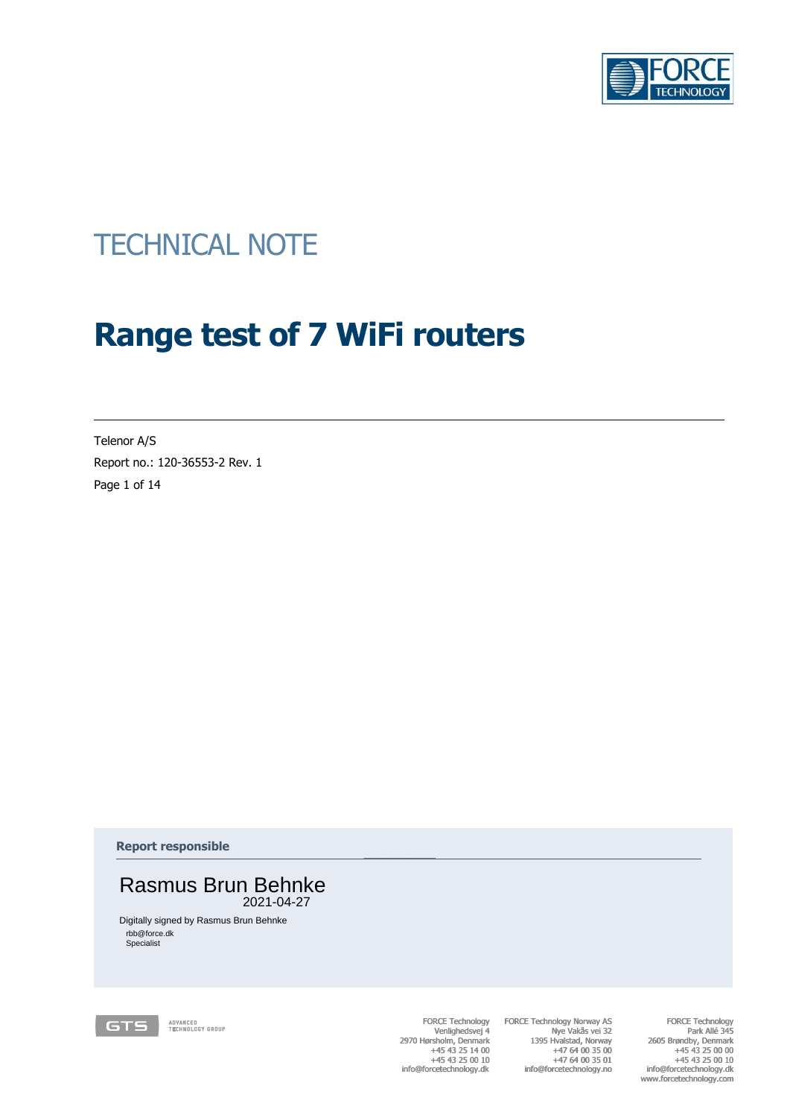

# TECHNICAL NOTE<br> **Range test of 7 WiFi routers**<br>
Report no:100-005352 Bev. 1<br>
Pape 1 of 14<br>
Rasmus Brøndby, +45 2521-04427<br>
Papert responsible<br>
Rasmus Brøndby, +45 43 2521-04427<br>
Papert responsible<br>
Papert responsible<br>
Pape **Range test of 7 WiFi routers**

Telenor A/S Report no.: 120-36553-2 Rev. 1 Page 1 of 14

**Report responsible**



Digitally signed by Rasmus Brun Behnke rbb@force.dk Specialist

FORCE Technology Venlighedsvej 4 2970 Hørsholm, Denmark +45 43 25 14 00 +45 43 25 00 10 info@forcetechnology.dk

 $\frac{1}{2}$  ,  $\frac{1}{2}$  ,  $\frac{1}{2}$  ,  $\frac{1}{2}$ 

FORCE Technology Norway AS Nye Vakås vei 32 1395 Hvalstad, Norway +47 64 00 35 00 +47 64 00 35 01 +47 64 01 info@forcetechnology.no FORCE Technology<br>
Venlighedsvej 4<br>
2970 Hørsholm, Denmark +45 43 25 14 00<br>
+45 43 25 10 10<br>
+47 64 00 35 00<br>
info@forcetechnology.dk info@forcetechnology.nk

FORCE Technology Park Allé 345 2605 Brøndby, Denmark +45 43 25 00 00 +45 43 25 00 10 info@forcetechnology.dk www.forcetechnology.com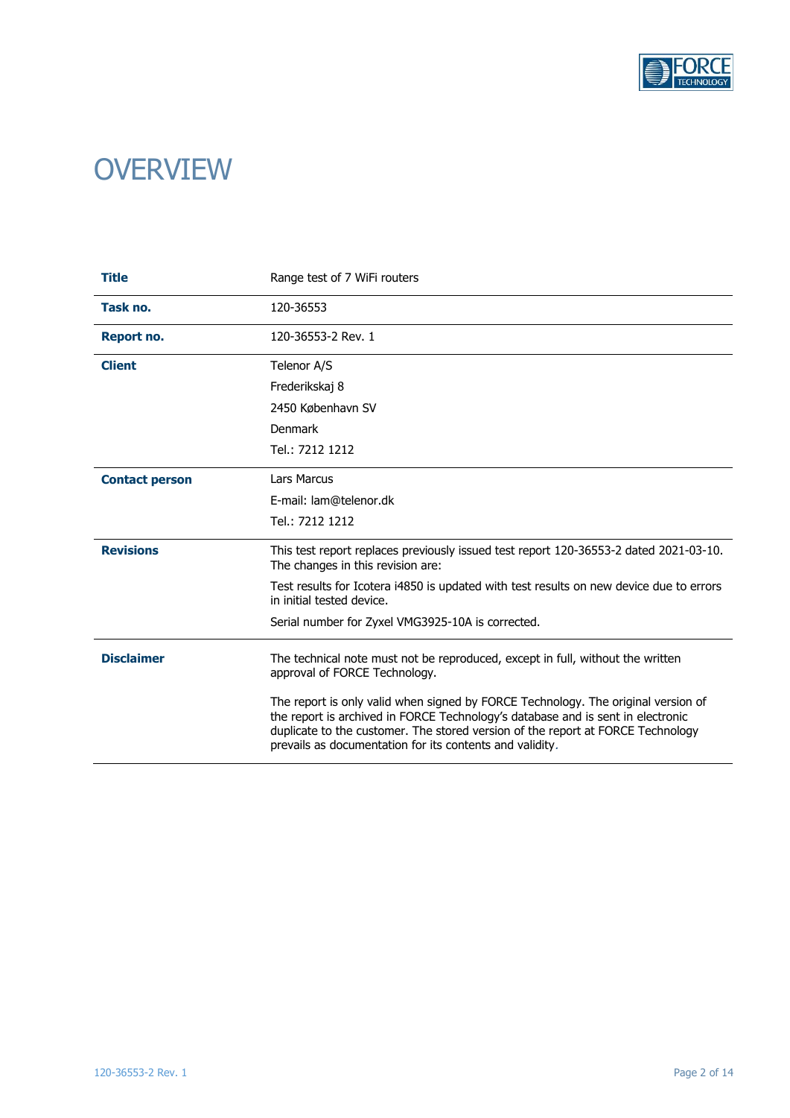

# **OVERVIEW**

| <b>Title</b>                 | Range test of 7 WiFi routers                                                                                                                                                                                                                                                                                        |  |  |  |  |  |  |
|------------------------------|---------------------------------------------------------------------------------------------------------------------------------------------------------------------------------------------------------------------------------------------------------------------------------------------------------------------|--|--|--|--|--|--|
| Task no.                     | 120-36553                                                                                                                                                                                                                                                                                                           |  |  |  |  |  |  |
| Report no.                   | 120-36553-2 Rev. 1                                                                                                                                                                                                                                                                                                  |  |  |  |  |  |  |
| <b>Client</b><br>Telenor A/S |                                                                                                                                                                                                                                                                                                                     |  |  |  |  |  |  |
|                              | Frederikskaj 8                                                                                                                                                                                                                                                                                                      |  |  |  |  |  |  |
|                              | 2450 København SV                                                                                                                                                                                                                                                                                                   |  |  |  |  |  |  |
|                              | Denmark                                                                                                                                                                                                                                                                                                             |  |  |  |  |  |  |
|                              | Tel.: 7212 1212                                                                                                                                                                                                                                                                                                     |  |  |  |  |  |  |
| <b>Contact person</b>        | <b>Lars Marcus</b>                                                                                                                                                                                                                                                                                                  |  |  |  |  |  |  |
|                              | E-mail: lam@telenor.dk                                                                                                                                                                                                                                                                                              |  |  |  |  |  |  |
|                              | Tel.: 7212 1212                                                                                                                                                                                                                                                                                                     |  |  |  |  |  |  |
| <b>Revisions</b>             | This test report replaces previously issued test report 120-36553-2 dated 2021-03-10.<br>The changes in this revision are:                                                                                                                                                                                          |  |  |  |  |  |  |
|                              | Test results for Icotera i4850 is updated with test results on new device due to errors<br>in initial tested device.                                                                                                                                                                                                |  |  |  |  |  |  |
|                              | Serial number for Zyxel VMG3925-10A is corrected.                                                                                                                                                                                                                                                                   |  |  |  |  |  |  |
| <b>Disclaimer</b>            | The technical note must not be reproduced, except in full, without the written<br>approval of FORCE Technology.                                                                                                                                                                                                     |  |  |  |  |  |  |
|                              | The report is only valid when signed by FORCE Technology. The original version of<br>the report is archived in FORCE Technology's database and is sent in electronic<br>duplicate to the customer. The stored version of the report at FORCE Technology<br>prevails as documentation for its contents and validity. |  |  |  |  |  |  |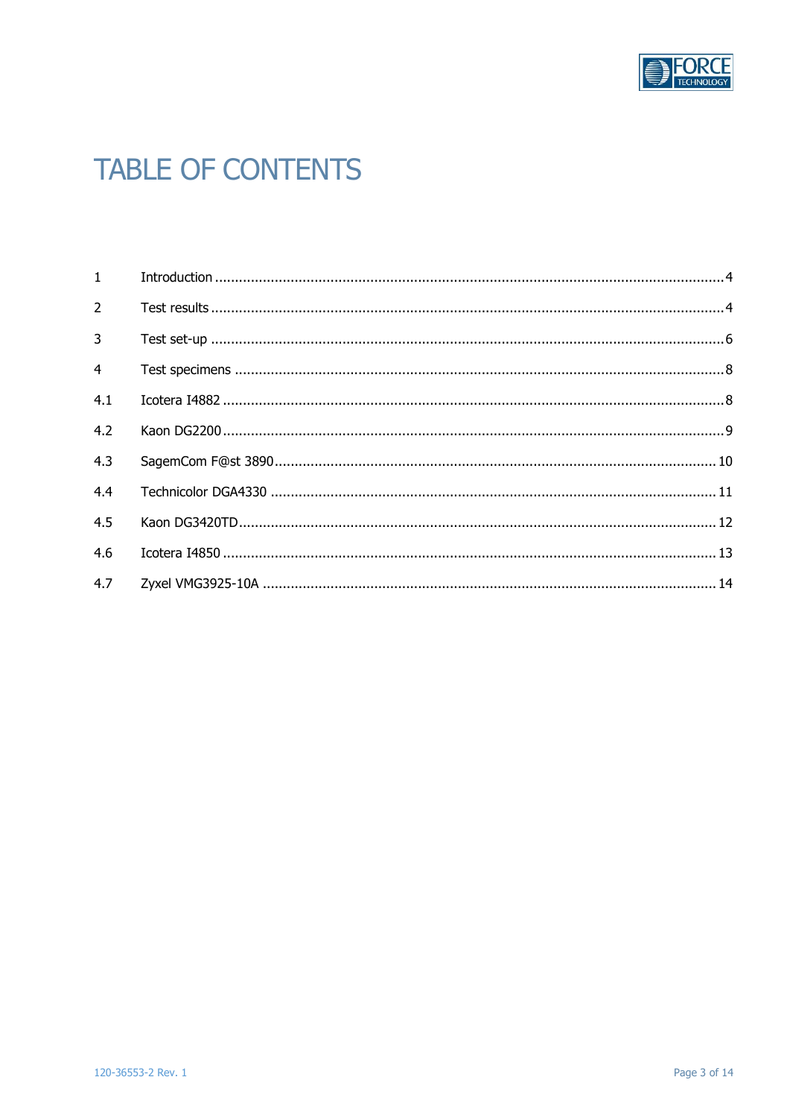

# **TABLE OF CONTENTS**

| $2^{\circ}$    |  |
|----------------|--|
| $\overline{3}$ |  |
| $\overline{4}$ |  |
| 4.1            |  |
| 4.2            |  |
| 4.3            |  |
| 4.4            |  |
| 4.5            |  |
| 4.6            |  |
|                |  |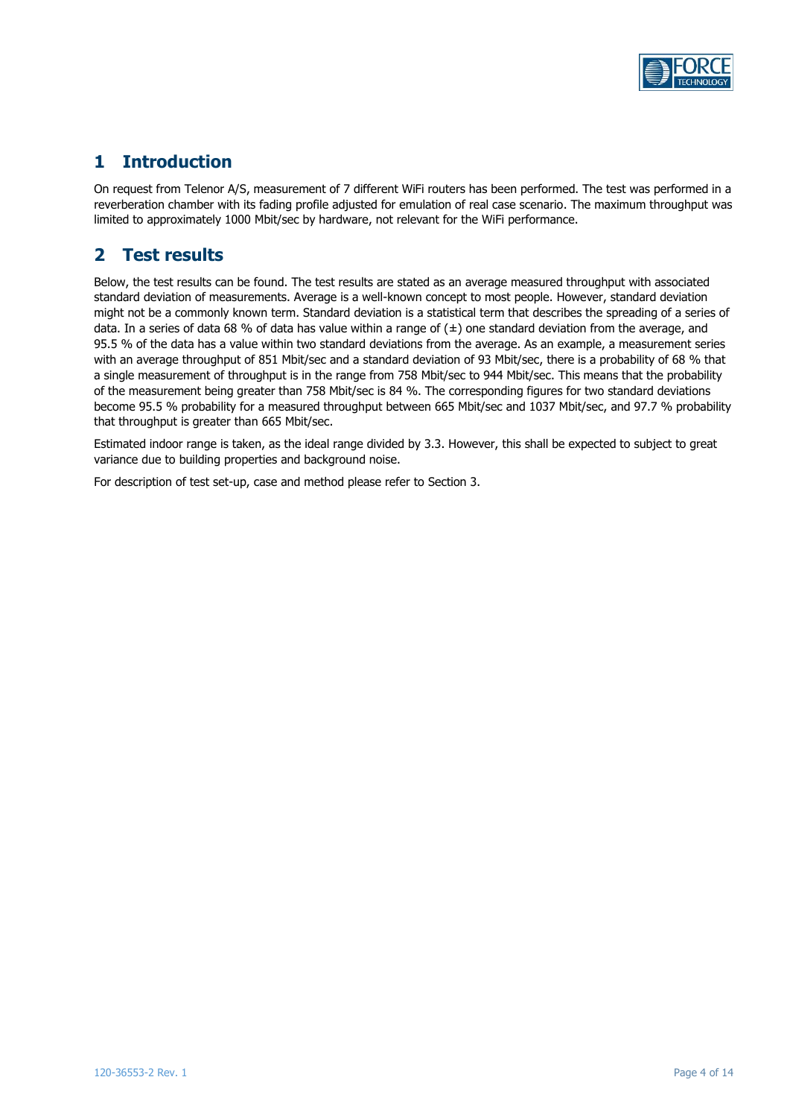

# <span id="page-3-0"></span>**1 Introduction**

On request from Telenor A/S, measurement of 7 different WiFi routers has been performed. The test was performed in a reverberation chamber with its fading profile adjusted for emulation of real case scenario. The maximum throughput was limited to approximately 1000 Mbit/sec by hardware, not relevant for the WiFi performance.

# <span id="page-3-1"></span>**2 Test results**

Below, the test results can be found. The test results are stated as an average measured throughput with associated standard deviation of measurements. Average is a well-known concept to most people. However, standard deviation might not be a commonly known term. Standard deviation is a statistical term that describes the spreading of a series of data. In a series of data 68 % of data has value within a range of  $(\pm)$  one standard deviation from the average, and 95.5 % of the data has a value within two standard deviations from the average. As an example, a measurement series with an average throughput of 851 Mbit/sec and a standard deviation of 93 Mbit/sec, there is a probability of 68 % that a single measurement of throughput is in the range from 758 Mbit/sec to 944 Mbit/sec. This means that the probability of the measurement being greater than 758 Mbit/sec is 84 %. The corresponding figures for two standard deviations become 95.5 % probability for a measured throughput between 665 Mbit/sec and 1037 Mbit/sec, and 97.7 % probability that throughput is greater than 665 Mbit/sec.

Estimated indoor range is taken, as the ideal range divided by 3.3. However, this shall be expected to subject to great variance due to building properties and background noise.

For description of test set-up, case and method please refer to Section 3.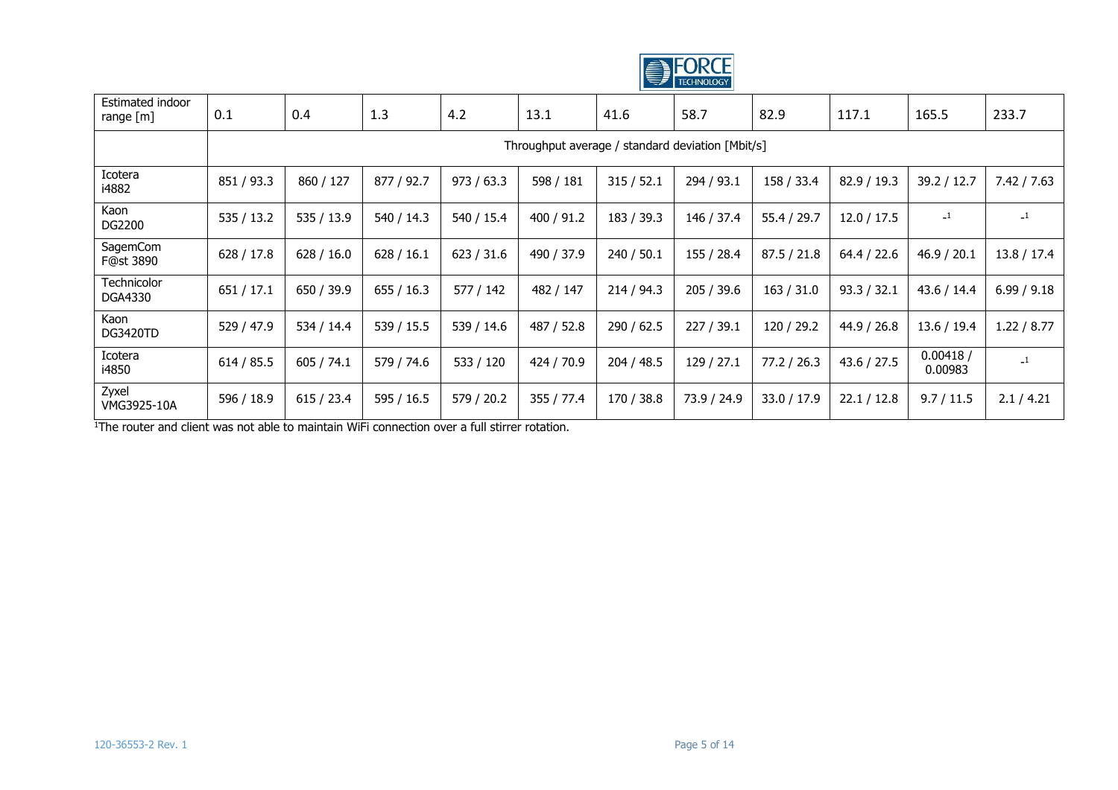

| Estimated indoor<br>range [m] | 0.1                                              | 0.4        | 1.3        | 4.2        | 13.1       | 41.6       | 58.7        | 82.9        | 117.1       | 165.5               | 233.7         |
|-------------------------------|--------------------------------------------------|------------|------------|------------|------------|------------|-------------|-------------|-------------|---------------------|---------------|
|                               | Throughput average / standard deviation [Mbit/s] |            |            |            |            |            |             |             |             |                     |               |
| Icotera<br>i4882              | 851 / 93.3                                       | 860 / 127  | 877 / 92.7 | 973 / 63.3 | 598 / 181  | 315/52.1   | 294 / 93.1  | 158 / 33.4  | 82.9 / 19.3 | 39.2 / 12.7         | 7.42 / 7.63   |
| Kaon<br>DG2200                | 535 / 13.2                                       | 535 / 13.9 | 540 / 14.3 | 540 / 15.4 | 400 / 91.2 | 183 / 39.3 | 146 / 37.4  | 55.4 / 29.7 | 12.0 / 17.5 | $\mathbf{-1}$       | $\mathbf{-1}$ |
| SagemCom<br>F@st 3890         | 628 / 17.8                                       | 628 / 16.0 | 628/16.1   | 623 / 31.6 | 490 / 37.9 | 240 / 50.1 | 155 / 28.4  | 87.5 / 21.8 | 64.4 / 22.6 | 46.9 / 20.1         | 13.8 / 17.4   |
| Technicolor<br>DGA4330        | 651 / 17.1                                       | 650 / 39.9 | 655/16.3   | 577 / 142  | 482 / 147  | 214/94.3   | 205 / 39.6  | 163 / 31.0  | 93.3 / 32.1 | 43.6 / 14.4         | 6.99 / 9.18   |
| Kaon<br><b>DG3420TD</b>       | 529 / 47.9                                       | 534 / 14.4 | 539 / 15.5 | 539 / 14.6 | 487 / 52.8 | 290 / 62.5 | 227/39.1    | 120 / 29.2  | 44.9 / 26.8 | 13.6 / 19.4         | 1.22 / 8.77   |
| Icotera<br>i4850              | 614 / 85.5                                       | 605 / 74.1 | 579 / 74.6 | 533 / 120  | 424 / 70.9 | 204 / 48.5 | 129/27.1    | 77.2 / 26.3 | 43.6 / 27.5 | 0.00418/<br>0.00983 | $\mathbf{-1}$ |
| Zyxel<br>VMG3925-10A          | 596 / 18.9                                       | 615/23.4   | 595 / 16.5 | 579 / 20.2 | 355 / 77.4 | 170 / 38.8 | 73.9 / 24.9 | 33.0 / 17.9 | 22.1 / 12.8 | 9.7 / 11.5          | 2.1 / 4.21    |

<sup>1</sup>The router and client was not able to maintain WiFi connection over a full stirrer rotation.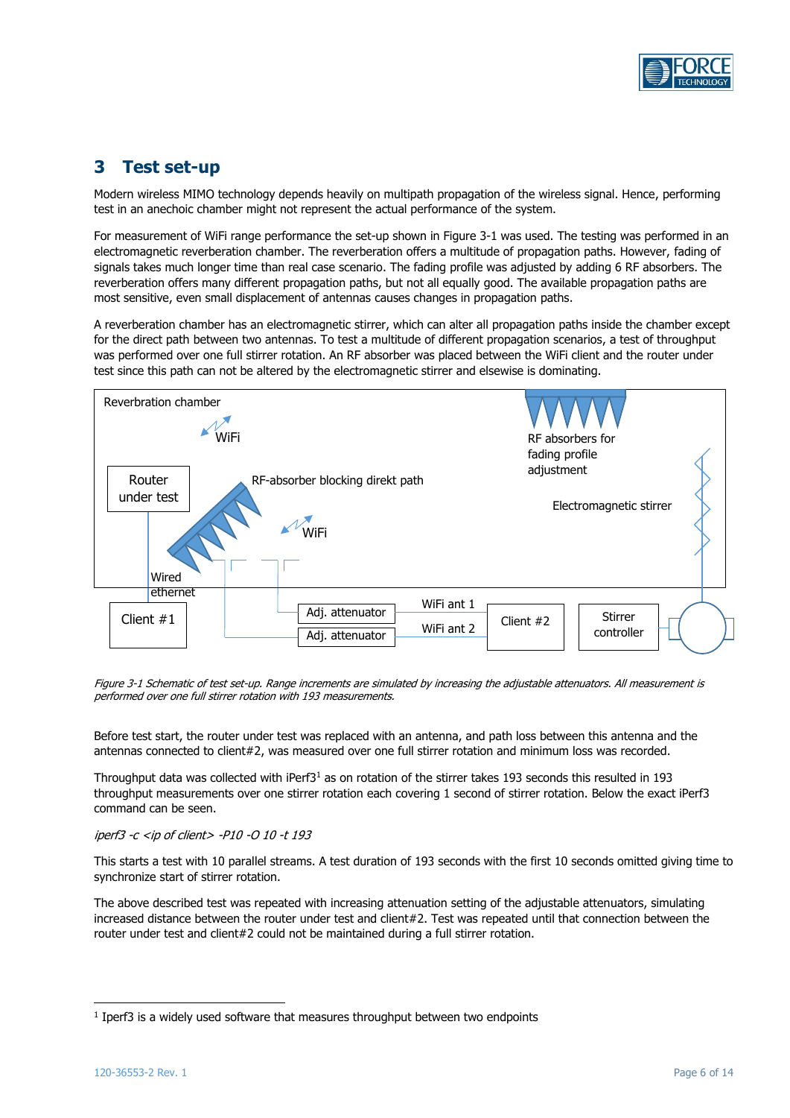

# <span id="page-5-0"></span>**3 Test set-up**

Modern wireless MIMO technology depends heavily on multipath propagation of the wireless signal. Hence, performing test in an anechoic chamber might not represent the actual performance of the system.

For measurement of WiFi range performance the set-up shown in [Figure 3-1](#page-5-1) was used. The testing was performed in an electromagnetic reverberation chamber. The reverberation offers a multitude of propagation paths. However, fading of signals takes much longer time than real case scenario. The fading profile was adjusted by adding 6 RF absorbers. The reverberation offers many different propagation paths, but not all equally good. The available propagation paths are most sensitive, even small displacement of antennas causes changes in propagation paths.

A reverberation chamber has an electromagnetic stirrer, which can alter all propagation paths inside the chamber except for the direct path between two antennas. To test a multitude of different propagation scenarios, a test of throughput was performed over one full stirrer rotation. An RF absorber was placed between the WiFi client and the router under test since this path can not be altered by the electromagnetic stirrer and elsewise is dominating.



<span id="page-5-1"></span>Figure 3-1 Schematic of test set-up. Range increments are simulated by increasing the adjustable attenuators. All measurement is performed over one full stirrer rotation with 193 measurements.

Before test start, the router under test was replaced with an antenna, and path loss between this antenna and the antennas connected to client#2, was measured over one full stirrer rotation and minimum loss was recorded.

Throughput data was collected with iPerf3<sup>1</sup> as on rotation of the stirrer takes 193 seconds this resulted in 193 throughput measurements over one stirrer rotation each covering 1 second of stirrer rotation. Below the exact iPerf3 command can be seen.

#### iperf3 -c <ip of client> -P10 -O 10 -t 193

This starts a test with 10 parallel streams. A test duration of 193 seconds with the first 10 seconds omitted giving time to synchronize start of stirrer rotation.

The above described test was repeated with increasing attenuation setting of the adjustable attenuators, simulating increased distance between the router under test and client#2. Test was repeated until that connection between the router under test and client#2 could not be maintained during a full stirrer rotation.

 $<sup>1</sup>$  Iperf3 is a widely used software that measures throughput between two endpoints</sup>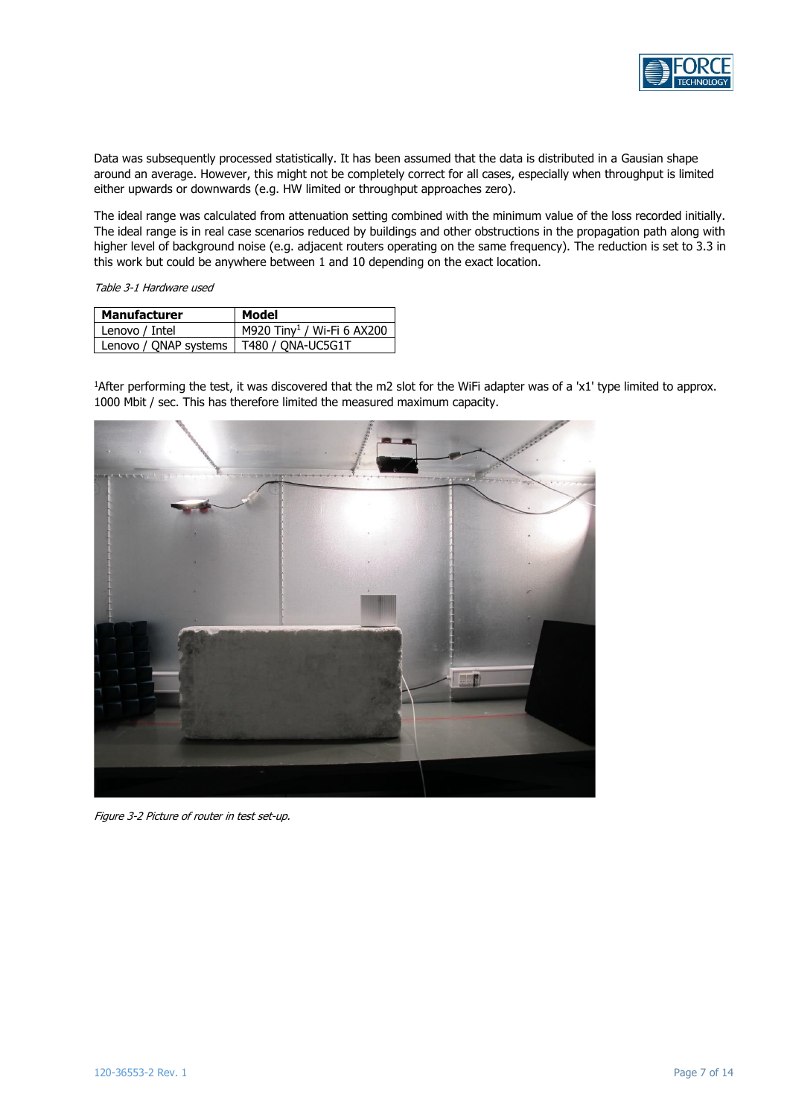

Data was subsequently processed statistically. It has been assumed that the data is distributed in a Gausian shape around an average. However, this might not be completely correct for all cases, especially when throughput is limited either upwards or downwards (e.g. HW limited or throughput approaches zero).

The ideal range was calculated from attenuation setting combined with the minimum value of the loss recorded initially. The ideal range is in real case scenarios reduced by buildings and other obstructions in the propagation path along with higher level of background noise (e.g. adjacent routers operating on the same frequency). The reduction is set to 3.3 in this work but could be anywhere between 1 and 10 depending on the exact location.

Table 3-1 Hardware used

| Manufacturer                              | Model                                  |
|-------------------------------------------|----------------------------------------|
| Lenovo / Intel                            | M920 Tiny <sup>1</sup> / Wi-Fi 6 AX200 |
| Lenovo / ONAP systems   T480 / ONA-UC5G1T |                                        |

<sup>1</sup>After performing the test, it was discovered that the m2 slot for the WiFi adapter was of a 'x1' type limited to approx. 1000 Mbit / sec. This has therefore limited the measured maximum capacity.



Figure 3-2 Picture of router in test set-up.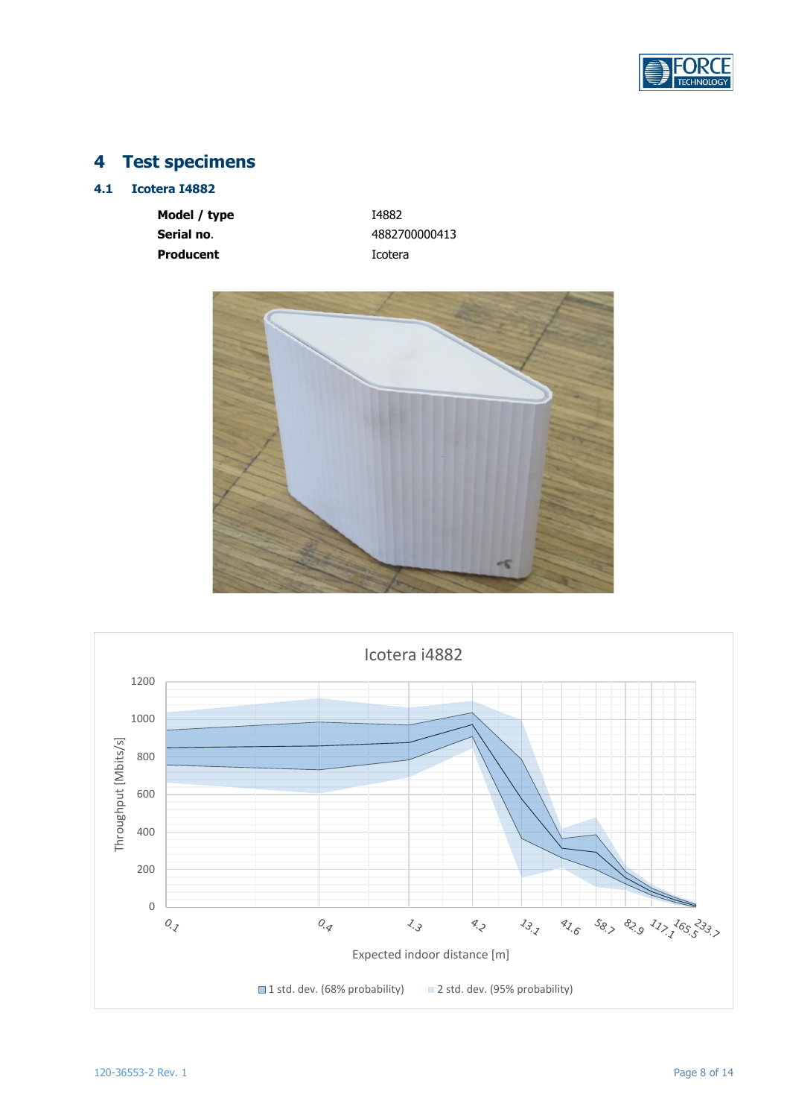

# <span id="page-7-0"></span>**4 Test specimens**

# <span id="page-7-1"></span>**4.1 Icotera I4882**

**Model / type** I4882 **Serial no.** 4882700000413 **Producent Icotera** 



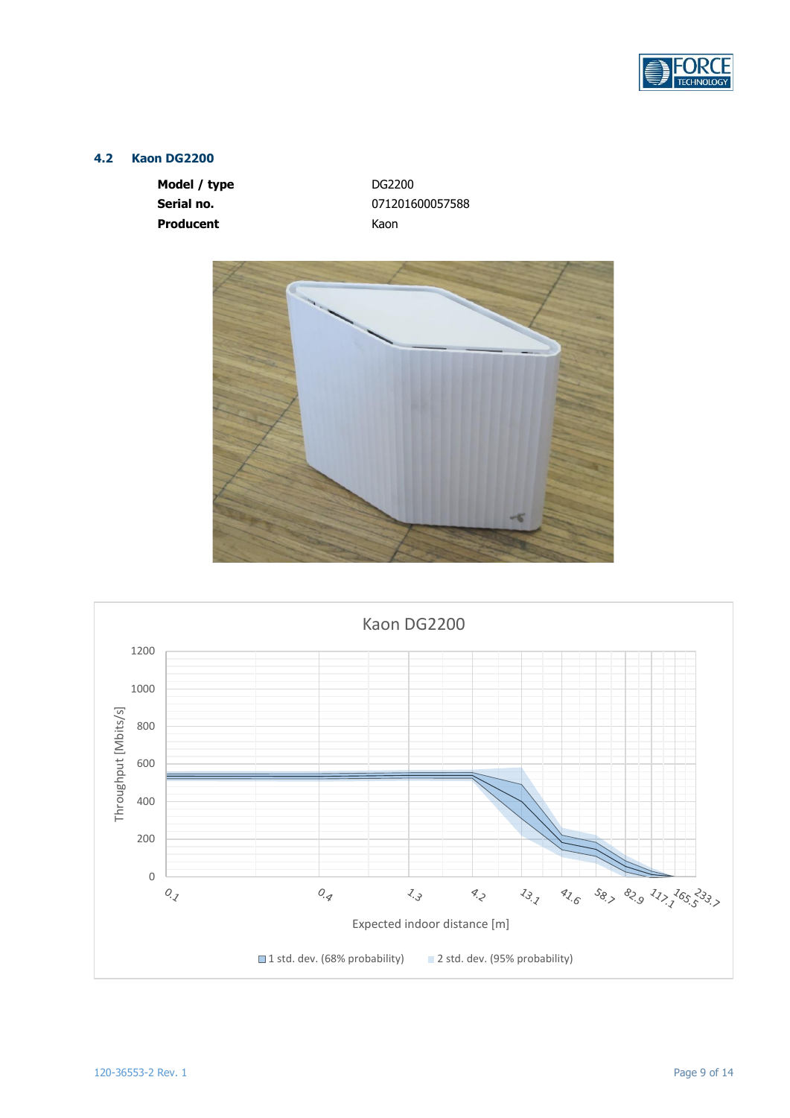

# <span id="page-8-0"></span>**4.2 Kaon DG2200**

**Model / type** DG2200 **Producent** Kaon

**Serial no.** 071201600057588



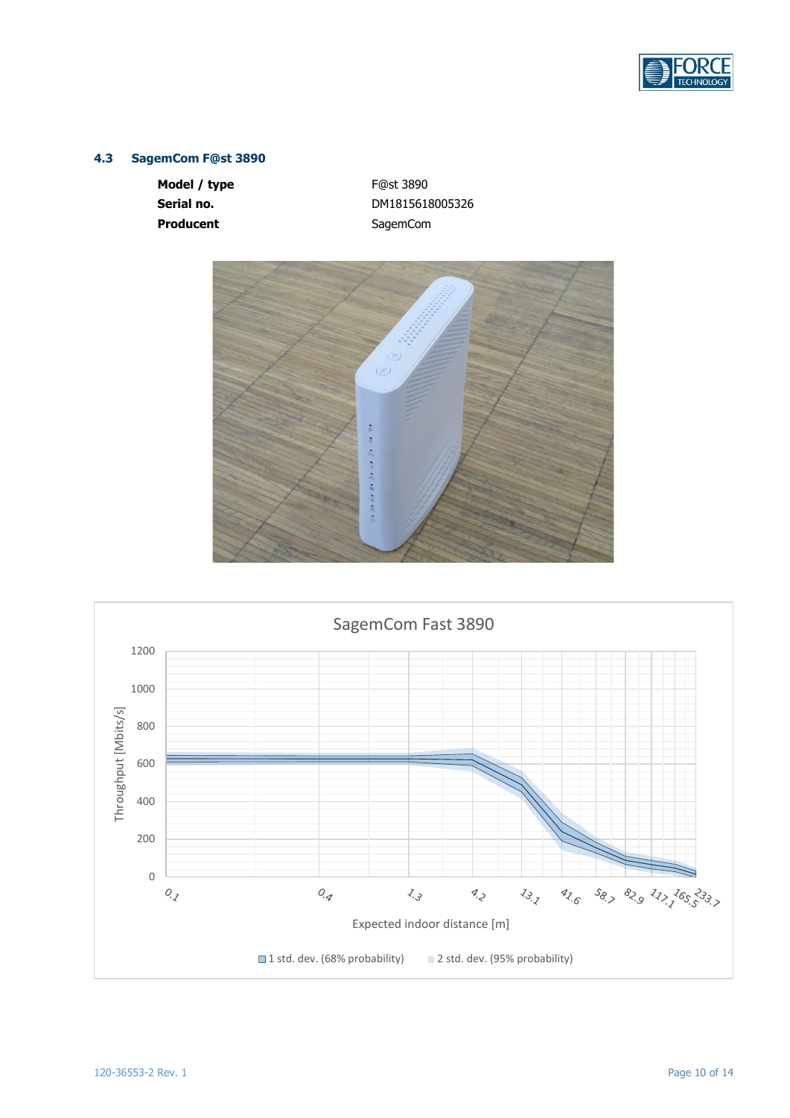

# <span id="page-9-0"></span>**4.3 SagemCom F@st 3890**

**Model / type** F@st 3890 Producent **SagemCom** 

**Serial no.** DM1815618005326



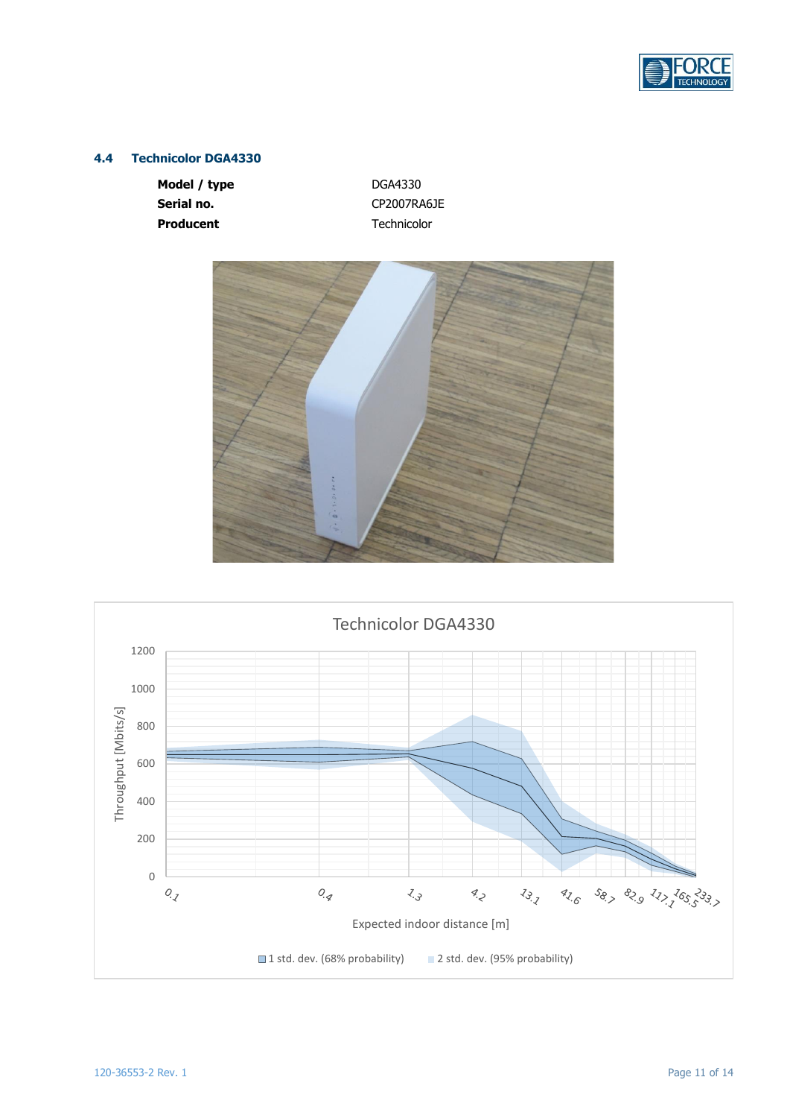

# <span id="page-10-0"></span>**4.4 Technicolor DGA4330**

**Model / type** DGA4330 Serial no. **CP2007RA6JE Producent** Technicolor



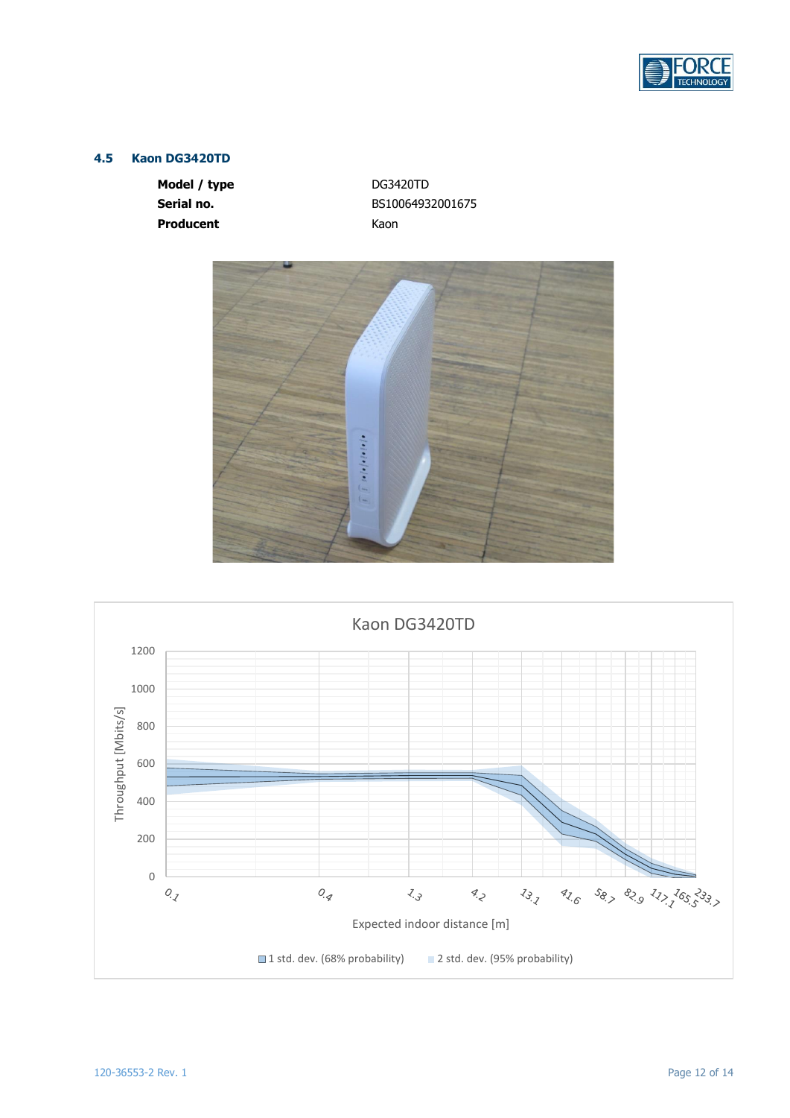

# <span id="page-11-0"></span>**4.5 Kaon DG3420TD**

**Model / type** DG3420TD **Producent** Kaon

**Serial no.** BS10064932001675



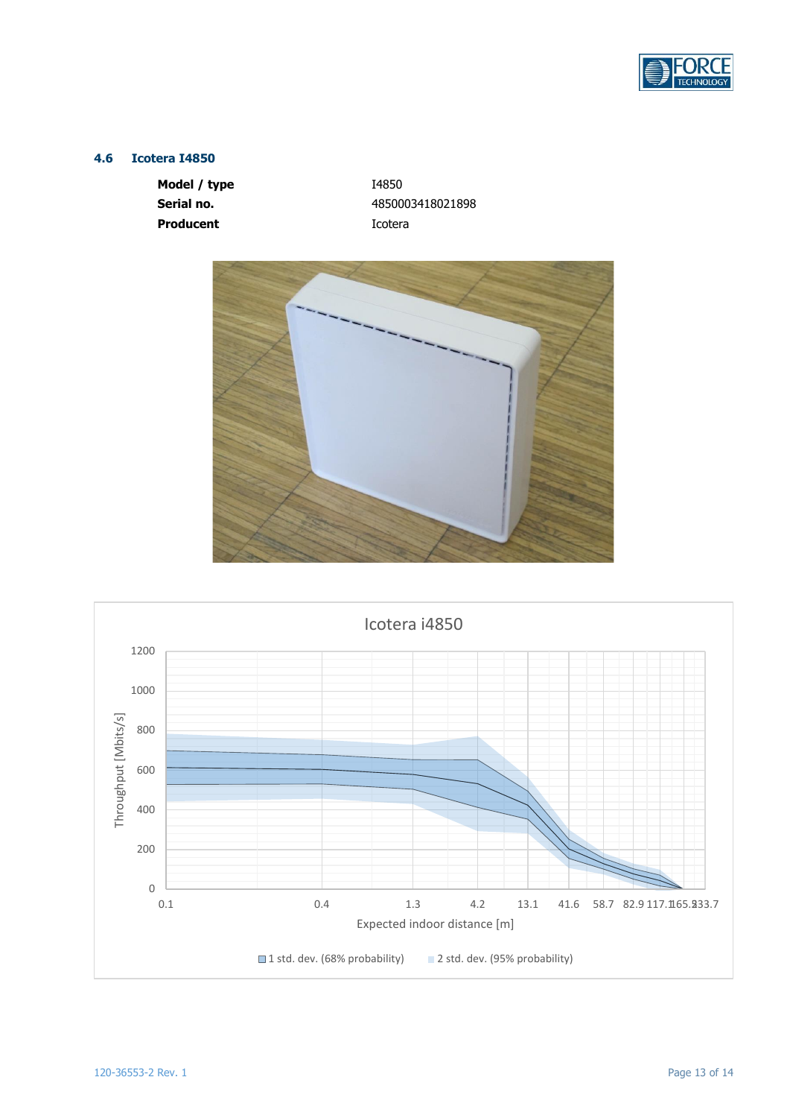

## <span id="page-12-0"></span>**4.6 Icotera I4850**

**Model / type** I4850 **Producent Icotera** 

**Serial no.** 4850003418021898